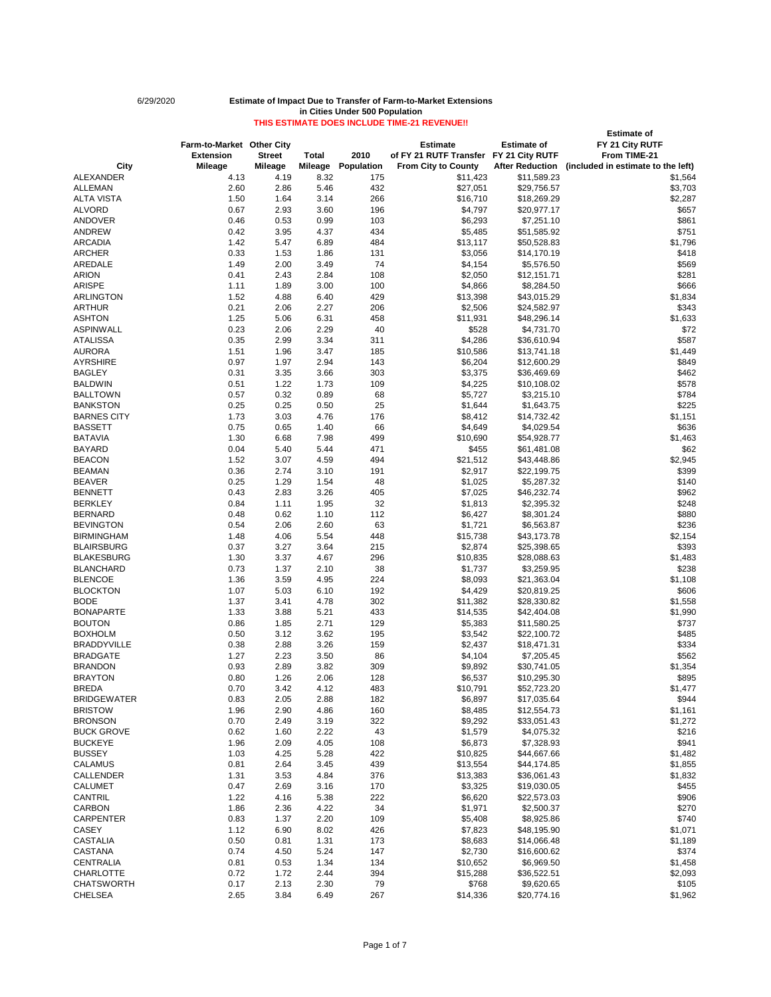BUCKEYE 1.96 2.09 4.05 108 \$6,873 \$7,328.93 \$941 BUSSEY 1.03 4.25 5.28 422 \$10,825 \$44,667.66 \$1,482

# **Estimate of Farm-to-Market Other City Estimate Estimate of FY 21 City RUTF Extension Street Total 2010 of FY 21 RUTF Transfer FY 21 City RUTF From TIME-21 City Mileage Mileage Mileage Population From City to County After Reduction (included in estimate to the left)** ALEXANDER 4.13 4.19 8.32 175 \$11,423 \$11,589.23 \$1,564 ALLEMAN 2.60 2.86 5.46 432 \$27,051 \$29,756.57 \$3,703 ALTA VISTA 1.50 1.64 3.14 266 \$16,710 \$18,269.29 \$2,287 ALVORD 0.67 2.93 3.60 196 \$4,797 \$20,977.17 \$657 ANDOVER 0.46 0.53 0.99 103 \$6,293 \$7,251.10 \$861 ANDREW 0.42 3.95 4.37 434 \$5,485 \$51,585.92 \$751 ARCADIA 1.42 5.47 6.89 484 \$13,117 \$50,528.83 \$1,796 4RCHER 0.33 1.53 1.86 131 \$3,056 \$14,170.19 \$418 AREDALE 1.49 2.00 3.49 74 \$4,154 \$5,576.50 \$569 ARION 0.41 2.43 2.84 108 \$2,050 \$12,151.71 \$281 ARISPE 1.11 1.89 3.00 100 \$4,866 \$8,284.50 \$666 ARLINGTON 1.52 4.88 6.40 429 \$13,398 \$43,015.29 \$1,834 ARTHUR 0.21 2.06 2.27 206 \$2,506 \$24,582.97 \$343 ASHTON 1.25 5.06 6.31 458 \$11,931 \$48,296.14 \$1,633 ASPINWALL 0.23 2.06 2.29 40 \$528 \$4,731.70 \$72 ATALISSA 0.35 2.99 3.34 311 \$4,286 \$36,610.94 \$587 AURORA 1.51 1.96 3.47 185 \$10,586 \$13,741.18 \$1,449 AYRSHIRE 0.97 1.97 2.94 143 \$6,204 \$12,600.29 \$849 BAGLEY 0.31 3.35 3.66 303 \$3,375 \$36,469.69 \$462 BALDWIN 0.51 1.22 1.73 109 \$4,225 \$10,108.02 \$578 BALLTOWN 0.57 0.32 0.89 68 \$5,727 \$3,215.10 \$784 BANKSTON 0.25 0.25 0.50 25 \$1,644 \$1,643.75 \$225 BARNES CITY 1.73 3.03 4.76 176 \$8,412 \$14,732.42 \$1,151 BASSETT 0.75 0.65 1.40 66 \$4,649 \$4,029.54 \$636 BATAVIA 1.30 6.68 7.98 499 \$10,690 \$54,928.77 \$1,463 BAYARD 0.04 5.40 5.44 471 \$455 \$61,481.08 \$62 BEACON 1.52 3.07 4.59 494 \$21,512 \$43,448.86 \$2,945 BEAMAN 0.36 2.74 3.10 191 \$2,917 \$22,199.75 \$399 BEAVER 0.25 1.29 1.54 48 \$1,025 \$5,287.32 \$140 BENNETT 0.43 2.83 3.26 405 \$7,025 \$46,232.74 \$962 BERKLEY 0.84 1.11 1.95 32 \$1,813 \$2,395.32 \$248 BERNARD 0.48 0.62 1.10 112 \$6,427 \$8,301.24 \$880 BEVINGTON 0.54 2.06 2.60 63 \$1,721 \$6,563.87 \$236 BIRMINGHAM 1.48 5.54 \$15,738 \$43,173.78 \$2,154 BLAIRSBURG 0.37 3.27 3.64 215 \$2,874 \$25,398.65 \$393 BLAKESBURG 1.30 3.37 4.67 296 \$10,835 \$28,088.63 \$1,483 BLANCHARD 0.73 1.37 2.10 38 \$1,737 \$3,259.95 \$238 BLENCOE 1.36 3.59 4.95 224 \$8,093 \$21,363.04 \$1,108 BLOCKTON 1.07 5.03 6.10 192 \$4,429 \$20,819.25 \$606 BODE 1.37 3.41 4.78 302 \$11,382 \$28,330.82 \$1,558 BONAPARTE 1.33 3.88 5.21 433 \$14,535 \$42,404.08 \$1,990 BOUTON 0.86 1.85 2.71 129 \$5,383 \$11,580.25 \$737 BOXHOLM 0.50 3.12 3.62 195 \$3,542 \$22,100.72 \$485 BRADDYVILLE 0.38 2.88 3.26 159 \$2,437 \$18,471.31 \$334 BRADGATE 1.27 2.23 3.50 86 \$4,104 \$7,205.45 \$562 BRANDON 0.93 2.89 3.82 309 \$9,892 \$30,741.05 \$1,354 BRAYTON 0.80 1.26 2.06 128 \$6,537 \$10,295.30 \$895 BREDA 0.70 3.42 4.12 483 \$10,791 \$52,723.20 \$1,477 BRIDGEWATER 0.83 2.05 2.88 182 \$6,897 \$17,035.64 \$944 BRISTOW 1.96 2.90 4.86 160 \$8,485 \$12,554.73 \$1,161 BRONSON 0.70 2.49 3.19 322 \$9,292 \$33,051.43 \$1,272 BUCK GROVE 0.62 1.60 2.22 43 \$1,579 \$4,075.32 \$216

| <b>CALAMUS</b>    | 0.81 | 2.64 | 3.45 | 439 | \$13,554 | \$44,174.85 | \$1,855 |
|-------------------|------|------|------|-----|----------|-------------|---------|
| <b>CALLENDER</b>  | 1.31 | 3.53 | 4.84 | 376 | \$13,383 | \$36,061.43 | \$1,832 |
| <b>CALUMET</b>    | 0.47 | 2.69 | 3.16 | 170 | \$3,325  | \$19,030.05 | \$455   |
| <b>CANTRIL</b>    | 1.22 | 4.16 | 5.38 | 222 | \$6,620  | \$22,573.03 | \$906   |
| <b>CARBON</b>     | 1.86 | 2.36 | 4.22 | 34  | \$1,971  | \$2,500.37  | \$270   |
| <b>CARPENTER</b>  | 0.83 | 1.37 | 2.20 | 109 | \$5,408  | \$8,925.86  | \$740   |
| <b>CASEY</b>      | 1.12 | 6.90 | 8.02 | 426 | \$7,823  | \$48,195.90 | \$1,071 |
| <b>CASTALIA</b>   | 0.50 | 0.81 | 1.31 | 173 | \$8,683  | \$14,066.48 | \$1,189 |
| <b>CASTANA</b>    | 0.74 | 4.50 | 5.24 | 147 | \$2,730  | \$16,600.62 | \$374   |
| <b>CENTRALIA</b>  | 0.81 | 0.53 | 1.34 | 134 | \$10,652 | \$6,969.50  | \$1,458 |
| <b>CHARLOTTE</b>  | 0.72 | 1.72 | 2.44 | 394 | \$15,288 | \$36,522.51 | \$2,093 |
| <b>CHATSWORTH</b> | 0.17 | 2.13 | 2.30 | 79  | \$768    | \$9,620.65  | \$105   |
| <b>CHELSEA</b>    | 2.65 | 3.84 | 6.49 | 267 | \$14,336 | \$20,774.16 | \$1,962 |

Page 1 of 7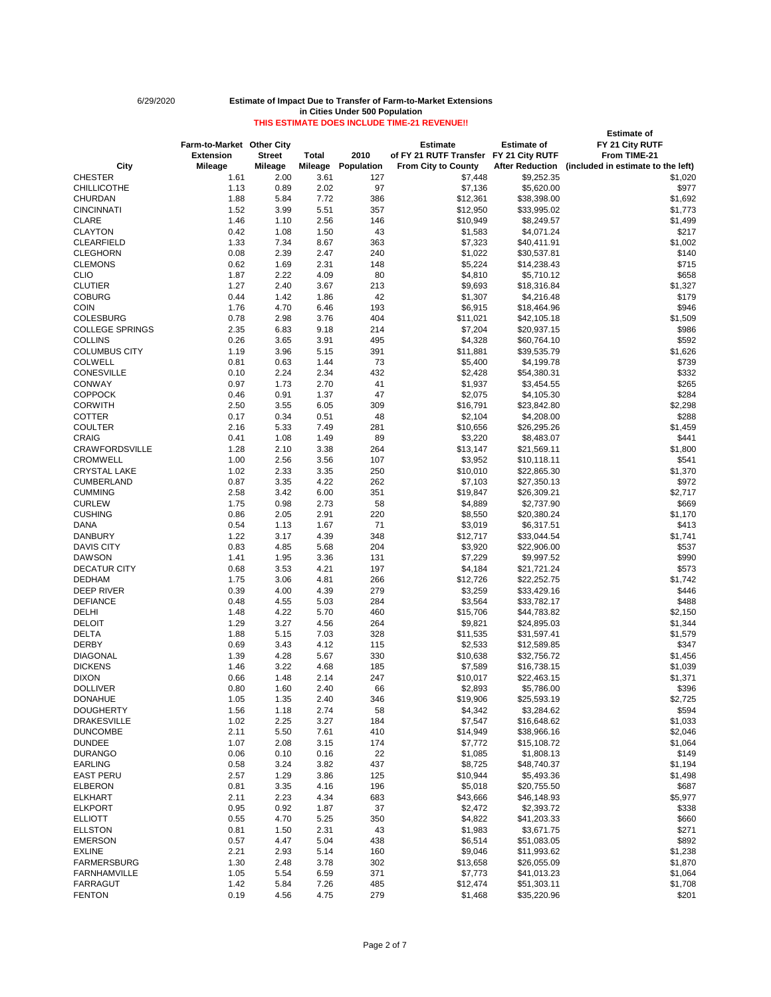# **Estimate of Farm-to-Market Other City Estimate Estimate of FY 21 City RUTF Extension Street Total 2010 of FY 21 RUTF Transfer FY 21 City RUTF From TIME-21 City Mileage Mileage Mileage Population From City to County After Reduction (included in estimate to the left)** CHESTER 1.61 2.00 3.61 127 \$7,448 \$9,252.35 \$1,020 CHILLICOTHE 1.13 0.89 2.02 97 \$7,136 \$5,620.00 \$977 CHURDAN 1.88 5.84 7.72 386 \$12,361 \$38,398.00 \$1,692 CINCINNATI 1.52 3.99 5.51 357 \$12,950 \$33,995.02 \$1,773 CLARE 1.46 1.10 2.56 146 \$10,949 \$8,249.57 \$1,499 CLAYTON 0.42 1.08 1.50 43 \$1,583 \$4,071.24 \$217 CLEARFIELD 1.33 7.34 8.67 363 \$7,323 \$40,411.91 \$1,002 CLEGHORN 0.08 2.39 2.47 240 \$1,022 \$30,537.81 \$140 CLEMONS 0.62 1.69 2.31 148 \$5,224 \$14,238.43 \$715 CLIO 1.87 2.22 4.09 80 \$4,810 \$5,710.12 \$658 CLUTIER 1.27 2.40 3.67 213 \$9,693 \$18,316.84 \$1,327 COBURG 0.44 1.42 1.86 42 \$1,307 \$4,216.48 \$179 COIN 1.76 4.70 6.46 193 \$6,915 \$18,464.96 \$946 COLESBURG 0.78 2.98 3.76 404 \$11,021 \$42,105.18 \$1,509 COLLEGE SPRINGS 2.35 6.83 9.18 214 \$7,204 \$20,937.15 \$986 COLLINS 0.26 3.65 3.91 495 \$4,328 \$60,764.10 \$592 COLUMBUS CITY 1.19 3.96 5.15 391 \$11,881 \$39,535.79 \$1,626 COLWELL 0.81 0.63 1.44 73 \$5,400 \$4,199.78 \$739 CONESVILLE 0.10 2.24 2.34 432 \$2,428 \$54,380.31 \$332 CONWAY 0.97 1.73 2.70 41 \$1,937 \$3,454.55 \$265 COPPOCK 0.46 0.91 1.37 47 \$2,075 \$4,105.30 \$284 CORWITH 2.50 3.55 6.05 309 \$16,791 \$23,842.80 \$2,298 COTTER 0.17 0.34 0.51 48 \$2,104 \$4,208.00 \$288 COULTER 2.16 5.33 7.49 281 \$10,656 \$26,295.26 \$1,459 CRAIG 0.41 1.08 1.49 89 \$3,220 \$8,483.07 \$441 CRAWFORDSVILLE 1.28 2.10 3.38 264 \$13,147 \$21,569.11 \$1,800 CROMWELL 1.00 2.56 3.56 107 \$3,952 \$10,118.11 \$541 CRYSTAL LAKE 1.02 2.33 3.35 250 \$10,010 \$22,865.30 \$1,370 CUMBERLAND 0.87 3.35 4.22 262 \$7,103 \$27,350.13 \$972 CUMMING 2.58 3.42 6.00 351 \$19,847 \$26,309.21 \$2,717 CURLEW 1.75 0.98 2.73 58 \$4,889 \$2,737.90 \$669 CUSHING 0.86 2.05 2.91 220 \$8,550 \$20,380.24 \$1,170 DANA 0.54 1.13 1.67 71 \$3,019 \$6,317.51 \$413 DANBURY 1.22 3.17 4.39 348 \$12,717 \$33,044.54 \$1,741 DAVIS CITY 0.83 4.85 5.68 204 \$3,920 \$22,906.00 \$537 DAWSON 1.41 1.95 3.36 131 \$7,229 \$9,997.52 \$990 DECATUR CITY 0.68 3.53 4.21 197 \$4,184 \$21,721.24 \$573 DEDHAM 1.75 3.06 4.81 266 \$12,726 \$22,252.75 \$1,742 DEEP RIVER 0.39 4.00 4.39 279 \$3,259 \$33,429.16 \$446 DEFIANCE 0.48 4.55 5.03 284 \$3,564 \$33,782.17 \$488 DELHI 1.48 4.22 5.70 460 \$15,706 \$44,783.82 \$2,150 DELOIT 1.29 3.27 4.56 264 \$9,821 \$24,895.03 \$1,344 DELTA 1.88 5.15 7.03 328 \$11,535 \$31,597.41 \$1,579 DERBY 0.69 3.43 4.12 115 \$2,533 \$12,589.85 \$347 DIAGONAL 1.39 4.28 5.67 330 \$10,638 \$32,756.72 \$1,456 DICKENS 1.46 3.22 4.68 185 \$7,589 \$16,738.15 \$1,039 DIXON 0.66 1.48 2.14 247 \$10,017 \$22,463.15 \$1,371 DOLLIVER 0.80 1.60 2.40 66 \$2,893 \$5,786.00 \$396 DONAHUE 1.05 1.35 2.40 346 \$19,906 \$25,593.19 \$2,725 DOUGHERTY 1.56 1.18 2.74 58 \$4,342 \$3,284.62 \$594 DRAKESVILLE 1.02 2.25 3.27 184 \$7,547 \$16,648.62 \$1,033 DUNCOMBE 2.11 5.50 7.61 410 \$14,949 \$38,966.16 \$2,046

DUNDEE 1.07 2.08 3.15 174 \$7,772 \$15,108.72 \$1,064 DURANGO 0.06 0.10 0.16 22 \$1,085 \$1,808.13 \$149

| <b>EARLING</b>      | 0.58 | 3.24  | 3.82 | 437 | \$8,725  | \$48,740.37 | \$1,194 |
|---------------------|------|-------|------|-----|----------|-------------|---------|
| <b>EAST PERU</b>    | 2.57 | .29   | 3.86 | 125 | \$10,944 | \$5,493.36  | \$1,498 |
| <b>ELBERON</b>      | 0.81 | 3.35  | 4.16 | 196 | \$5,018  | \$20,755.50 | \$687   |
| <b>ELKHART</b>      | 2.11 | 2.23  | 4.34 | 683 | \$43,666 | \$46,148.93 | \$5,977 |
| <b>ELKPORT</b>      | 0.95 | 0.92  | 1.87 | 37  | \$2,472  | \$2,393.72  | \$338   |
| <b>ELLIOTT</b>      | 0.55 | 4.70  | 5.25 | 350 | \$4,822  | \$41,203.33 | \$660   |
| <b>ELLSTON</b>      | 0.81 | l .50 | 2.31 | 43  | \$1,983  | \$3,671.75  | \$271   |
| <b>EMERSON</b>      | 0.57 | 4.47  | 5.04 | 438 | \$6,514  | \$51,083.05 | \$892   |
| <b>EXLINE</b>       | 2.21 | 2.93  | 5.14 | 160 | \$9,046  | \$11,993.62 | \$1,238 |
| <b>FARMERSBURG</b>  | 1.30 | 2.48  | 3.78 | 302 | \$13,658 | \$26,055.09 | \$1,870 |
| <b>FARNHAMVILLE</b> | 1.05 | 5.54  | 6.59 | 371 | \$7,773  | \$41,013.23 | \$1,064 |
| <b>FARRAGUT</b>     | 1.42 | 5.84  | 7.26 | 485 | \$12,474 | \$51,303.11 | \$1,708 |
| <b>FENTON</b>       | 0.19 | 4.56  | 4.75 | 279 | \$1,468  | \$35,220.96 | \$201   |

Page 2 of 7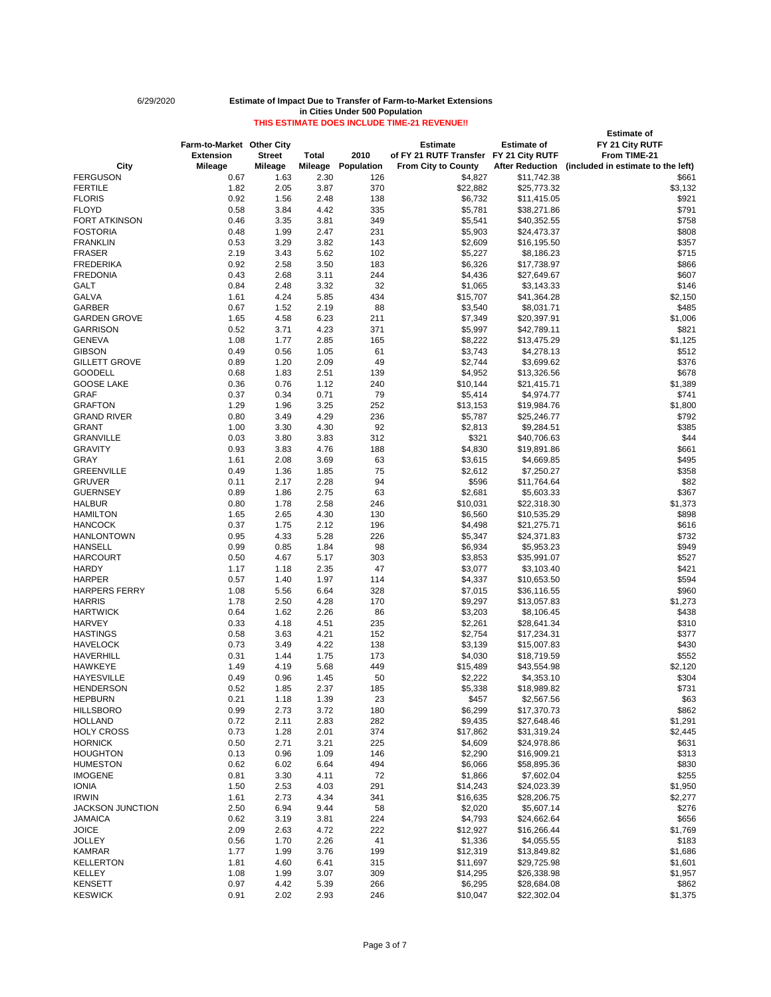# **Estimate of Farm-to-Market Other City Estimate Estimate of FY 21 City RUTF Extension Street Total 2010 of FY 21 RUTF Transfer FY 21 City RUTF From TIME-21 City Mileage Mileage Mileage Population From City to County After Reduction (included in estimate to the left)** FERGUSON 0.67 1.63 2.30 126 \$4,827 \$11,742.38 \$661 FERTILE 1.82 2.05 3.87 370 \$22,882 \$25,773.32 \$3,132 FLORIS 0.92 1.56 2.48 138 \$6,732 \$11,415.05 \$921 FLOYD 0.58 3.84 4.42 335 \$5,781 \$38,271.86 \$791 FORT ATKINSON 0.46 3.35 3.81 349 \$5,541 \$40,352.55 \$758 FOSTORIA 0.48 1.99 2.47 231 \$5,903 \$24,473.37 \$808 FRANKLIN 0.53 3.29 3.82 143 \$2,609 \$16,195.50 \$357 FRASER 2.19 3.43 5.62 102 \$5,227 \$8,186.23 \$715 FREDERIKA 0.92 2.58 3.50 183 \$6,326 \$17,738.97 \$866 FREDONIA 0.43 2.68 3.11 244 \$4,436 \$27,649.67 \$607 GALT 0.84 2.48 3.32 32 \$1,065 \$3,143.33 \$146 GALVA 1.61 4.24 5.85 434 \$15,707 \$41,364.28 \$2,150 GARBER 0.67 1.52 2.19 88 \$3,540 \$8,031.71 \$485 GARDEN GROVE 1.65 4.58 6.23 211 \$7,349 \$20,397.91 \$1,006 GARRISON 0.52 3.71 4.23 371 \$5,997 \$42,789.11 \$821 GENEVA 1.08 1.77 2.85 165 \$8,222 \$13,475.29 \$1,125 GIBSON 0.49 0.56 1.05 61 \$3,743 \$4,278.13 \$512 GILLETT GROVE 0.89 1.20 2.09 49 \$2,744 \$3,699.62 \$376 GOODELL 0.68 1.83 2.51 139 \$4,952 \$13,326.56 \$678 GOOSE LAKE 0.36 0.76 1.12 240 \$10,144 \$21,415.71 \$1,389 GRAF 0.37 0.34 0.71 79 \$5,414 \$4,974.77 \$741 GRAFTON 1.29 1.96 3.25 252 \$13,153 \$19,984.76 \$1,800 GRAND RIVER 0.80 3.49 4.29 236 \$5,787 \$25,246.77 \$792 GRANT 1.00 3.30 4.30 92 \$2,813 \$9,284.51 \$385 GRANVILLE 0.03 3.80 3.83 312 \$221 \$40,706.63 \$44 GRAVITY 0.93 3.83 4.76 188 \$4,830 \$19,891.86 \$661 GRAY 1.61 2.08 3.69 63 \$3,615 \$4,669.85 \$495 GREENVILLE 0.49 1.36 1.85 75 \$2,612 \$7,250.27 \$358 GRUVER 0.11 2.17 2.28 94 \$596 \$11,764.64 \$82 GUERNSEY 0.89 1.86 2.75 63 \$2,681 \$5,603.33 \$367 HALBUR 0.80 1.78 2.58 246 \$10,031 \$22,318.30 \$1,373 HAMILTON 1.65 2.65 4.30 130 \$6,560 \$10,535.29 \$898 HANCOCK 0.37 1.75 2.12 196 \$4,498 \$21,275.71 \$616 HANLONTOWN 0.95 4.33 5.28 226 \$5,347 \$24,371.83 \$732 HANSELL 0.99 0.85 1.84 98 \$6,934 \$5,953.23 \$949 HARCOURT 0.50 4.67 5.17 303 \$3,853 \$35,991.07 \$527 HARDY 1.17 1.18 2.35 47 \$3,077 \$3,103.40 \$421 HARPER 0.57 1.40 1.97 114 \$4,337 \$10,653.50 \$594 HARPERS FERRY 1.08 5.56 6.64 328 \$7,015 \$36,116.55 \$960 HARRIS 1.78 2.50 4.28 170 \$9,297 \$13,057.83 \$1,273 HARTWICK 0.64 1.62 2.26 86 \$3,203 \$8,106.45 \$438 HARVEY 0.33 4.18 4.51 235 \$2,261 \$28,641.34 \$310 HASTINGS 0.58 3.63 4.21 152 \$2,754 \$17,234.31 \$377 HAVELOCK 0.73 3.49 4.22 138 \$3,139 \$15,007.83 \$430 HAVERHILL 0.31 1.44 1.75 173 \$4,030 \$18,719.59 \$552 HAWKEYE 1.49 4.19 5.68 449 \$15,489 \$43,554.98 \$2,120 HAYESVILLE 0.49 0.96 1.45 50 \$2,222 \$4,353.10 \$304 HENDERSON 0.52 1.85 2.37 185 \$5,338 \$18,989.82 \$731 HEPBURN 0.21 1.18 1.39 23 \$457 \$2,567.56 \$63 HILLSBORO 0.99 2.73 3.72 180 \$6,299 \$17,370.73 \$862 HOLLAND 0.72 2.11 2.83 282 \$9,435 \$27,648.46 \$1,291 HOLY CROSS 0.73 1.28 2.01 374 \$17,862 \$31,319.24 \$2,445

HORNICK 0.50 2.71 3.21 225 \$4,609 \$24,978.86 \$631 HOUGHTON 0.13 0.96 1.09 146 \$2,290 \$16,909.21 \$313

| <b>HUMESTON</b>         | 0.62 | 6.02  | 6.64 | 494 | \$6,066  | \$58,895.36 | \$830   |
|-------------------------|------|-------|------|-----|----------|-------------|---------|
| <b>IMOGENE</b>          | 0.81 | 3.30  | 4.11 | 72  | \$1,866  | \$7,602.04  | \$255   |
| <b>IONIA</b>            | 1.50 | 2.53  | 4.03 | 291 | \$14,243 | \$24,023.39 | \$1,950 |
| <b>IRWIN</b>            | 1.61 | 2.73  | 4.34 | 341 | \$16,635 | \$28,206.75 | \$2,277 |
| <b>JACKSON JUNCTION</b> | 2.50 | 6.94  | 9.44 | 58  | \$2,020  | \$5,607.14  | \$276   |
| <b>JAMAICA</b>          | 0.62 | 3.19  | 3.81 | 224 | \$4,793  | \$24,662.64 | \$656   |
| <b>JOICE</b>            | 2.09 | 2.63  | 4.72 | 222 | \$12,927 | \$16,266.44 | \$1,769 |
| <b>JOLLEY</b>           | 0.56 | 1.70  | 2.26 | 41  | \$1,336  | \$4,055.55  | \$183   |
| <b>KAMRAR</b>           | 1.77 | .99   | 3.76 | 199 | \$12,319 | \$13,849.82 | \$1,686 |
| <b>KELLERTON</b>        | 1.81 | 4.60  | 6.41 | 315 | \$11,697 | \$29,725.98 | \$1,601 |
| KELLEY                  | 1.08 | 99. ا | 3.07 | 309 | \$14,295 | \$26,338.98 | \$1,957 |
| <b>KENSETT</b>          | 0.97 | 4.42  | 5.39 | 266 | \$6,295  | \$28,684.08 | \$862   |
| <b>KESWICK</b>          | 0.91 | 2.02  | 2.93 | 246 | \$10,047 | \$22,302.04 | \$1,375 |

Page 3 of 7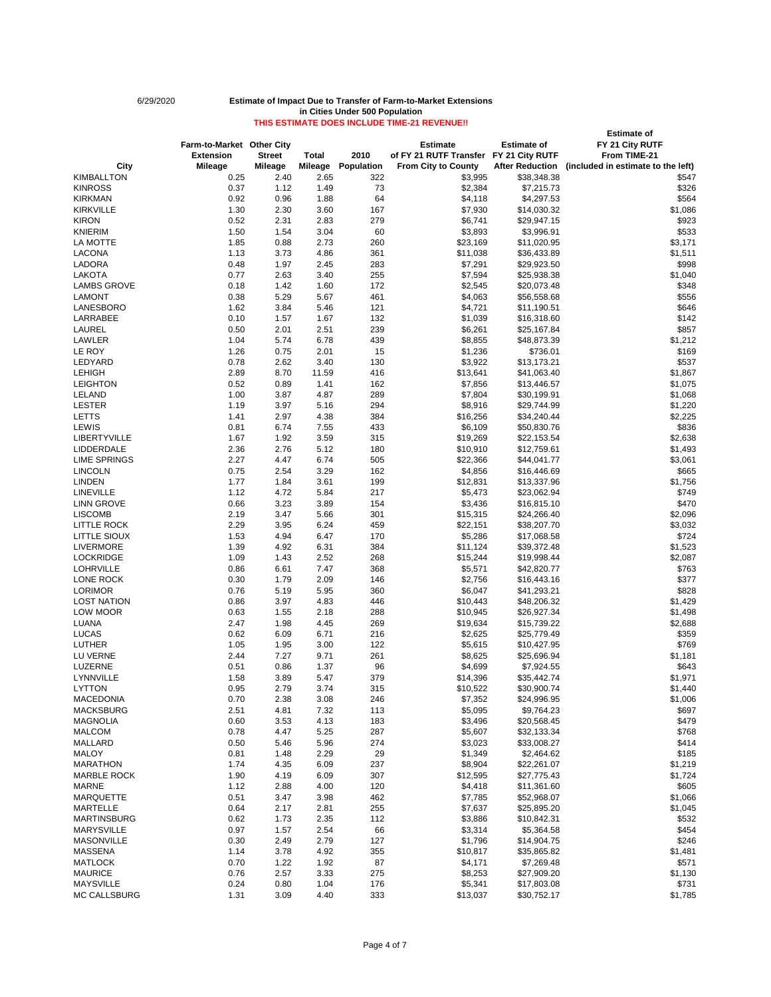# 6/29/2020 **Estimate of Impact Due to Transfer of Farm-to-Market Extensions in Cities Under 500 Population**

# **THIS ESTIMATE DOES INCLUDE TIME-21 REVENUE!! Farm-to-Market** Other City **Consumers Estimate Estimate Estimate Estimate Estimate**

|                     |                           |                |                |            |                                        |                        | <b>Estimate of</b>                 |
|---------------------|---------------------------|----------------|----------------|------------|----------------------------------------|------------------------|------------------------------------|
|                     | Farm-to-Market Other City |                |                |            | <b>Estimate</b>                        | <b>Estimate of</b>     | FY 21 City RUTF                    |
|                     | <b>Extension</b>          | <b>Street</b>  | <b>Total</b>   | 2010       | of FY 21 RUTF Transfer FY 21 City RUTF |                        | From TIME-21                       |
| <b>City</b>         | <b>Mileage</b>            | <b>Mileage</b> | <b>Mileage</b> | Population | <b>From City to County</b>             | <b>After Reduction</b> | (included in estimate to the left) |
|                     |                           |                |                |            |                                        |                        |                                    |
| <b>KIMBALLTON</b>   | 0.25                      | 2.40           | 2.65           | 322        | \$3,995                                | \$38,348.38            | \$547                              |
| <b>KINROSS</b>      | 0.37                      | 1.12           | 1.49           | 73         | \$2,384                                | \$7,215.73             | \$326                              |
| <b>KIRKMAN</b>      | 0.92                      | 0.96           | 1.88           | 64         | \$4,118                                | \$4,297.53             | \$564                              |
| <b>KIRKVILLE</b>    | 1.30                      | 2.30           | 3.60           | 167        | \$7,930                                | \$14,030.32            | \$1,086                            |
| <b>KIRON</b>        | 0.52                      | 2.31           | 2.83           | 279        | \$6,741                                | \$29,947.15            | \$923                              |
| KNIERIM             | 1.50                      | 1.54           | 3.04           | 60         | \$3,893                                | \$3,996.91             | \$533                              |
| LA MOTTE            | 1.85                      | 0.88           | 2.73           | 260        | \$23,169                               | \$11,020.95            | \$3,171                            |
| LACONA              | 1.13                      | 3.73           | 4.86           | 361        | \$11,038                               | \$36,433.89            | \$1,511                            |
| LADORA              | 0.48                      | 1.97           | 2.45           | 283        | \$7,291                                | \$29,923.50            | \$998                              |
| <b>LAKOTA</b>       | 0.77                      | 2.63           | 3.40           | 255        | \$7,594                                | \$25,938.38            | \$1,040                            |
| <b>LAMBS GROVE</b>  | 0.18                      | 1.42           | 1.60           | 172        | \$2,545                                | \$20,073.48            | \$348                              |
| <b>LAMONT</b>       | 0.38                      | 5.29           | 5.67           | 461        | \$4,063                                | \$56,558.68            | \$556                              |
|                     |                           |                |                |            |                                        |                        |                                    |
| LANESBORO           | 1.62                      | 3.84           | 5.46           | 121        | \$4,721                                | \$11,190.51            | \$646                              |
| LARRABEE            | 0.10                      | 1.57           | 1.67           | 132        | \$1,039                                | \$16,318.60            | \$142                              |
| <b>LAUREL</b>       | 0.50                      | 2.01           | 2.51           | 239        | \$6,261                                | \$25,167.84            | \$857                              |
| LAWLER              | 1.04                      | 5.74           | 6.78           | 439        | \$8,855                                | \$48,873.39            | \$1,212                            |
| LE ROY              | 1.26                      | 0.75           | 2.01           | 15         | \$1,236                                | \$736.01               | \$169                              |
| LEDYARD             | 0.78                      | 2.62           | 3.40           | 130        | \$3,922                                | \$13,173.21            | \$537                              |
| <b>LEHIGH</b>       | 2.89                      | 8.70           | 11.59          | 416        | \$13,641                               | \$41,063.40            | \$1,867                            |
| <b>LEIGHTON</b>     | 0.52                      | 0.89           | 1.41           | 162        | \$7,856                                | \$13,446.57            | \$1,075                            |
| <b>LELAND</b>       | 1.00                      | 3.87           | 4.87           | 289        | \$7,804                                | \$30,199.91            | \$1,068                            |
| <b>LESTER</b>       | 1.19                      | 3.97           | 5.16           | 294        | \$8,916                                | \$29,744.99            | \$1,220                            |
| <b>LETTS</b>        | 1.41                      | 2.97           | 4.38           | 384        | \$16,256                               | \$34,240.44            | \$2,225                            |
|                     |                           |                |                |            |                                        |                        |                                    |
| <b>LEWIS</b>        | 0.81                      | 6.74           | 7.55           | 433        | \$6,109                                | \$50,830.76            | \$836                              |
| <b>LIBERTYVILLE</b> | 1.67                      | 1.92           | 3.59           | 315        | \$19,269                               | \$22,153.54            | \$2,638                            |
| <b>LIDDERDALE</b>   | 2.36                      | 2.76           | 5.12           | 180        | \$10,910                               | \$12,759.61            | \$1,493                            |
| <b>LIME SPRINGS</b> | 2.27                      | 4.47           | 6.74           | 505        | \$22,366                               | \$44,041.77            | \$3,061                            |
| <b>LINCOLN</b>      | 0.75                      | 2.54           | 3.29           | 162        | \$4,856                                | \$16,446.69            | \$665                              |
| <b>LINDEN</b>       | 1.77                      | 1.84           | 3.61           | 199        | \$12,831                               | \$13,337.96            | \$1,756                            |
| <b>LINEVILLE</b>    | 1.12                      | 4.72           | 5.84           | 217        | \$5,473                                | \$23,062.94            | \$749                              |
| <b>LINN GROVE</b>   | 0.66                      | 3.23           | 3.89           | 154        | \$3,436                                | \$16,815.10            | \$470                              |
| <b>LISCOMB</b>      | 2.19                      | 3.47           | 5.66           | 301        | \$15,315                               | \$24,266.40            | \$2,096                            |
| <b>LITTLE ROCK</b>  | 2.29                      | 3.95           | 6.24           | 459        | \$22,151                               | \$38,207.70            | \$3,032                            |
| <b>LITTLE SIOUX</b> | 1.53                      | 4.94           | 6.47           | 170        | \$5,286                                | \$17,068.58            | \$724                              |
| <b>LIVERMORE</b>    | 1.39                      | 4.92           | 6.31           | 384        | \$11,124                               | \$39,372.48            | \$1,523                            |
|                     |                           |                |                |            |                                        |                        |                                    |
| <b>LOCKRIDGE</b>    | 1.09                      | 1.43           | 2.52           | 268        | \$15,244                               | \$19,998.44            | \$2,087                            |
| <b>LOHRVILLE</b>    | 0.86                      | 6.61           | 7.47           | 368        | \$5,571                                | \$42,820.77            | \$763                              |
| LONE ROCK           | 0.30                      | 1.79           | 2.09           | 146        | \$2,756                                | \$16,443.16            | \$377                              |
| <b>LORIMOR</b>      | 0.76                      | 5.19           | 5.95           | 360        | \$6,047                                | \$41,293.21            | \$828                              |
| <b>LOST NATION</b>  | 0.86                      | 3.97           | 4.83           | 446        | \$10,443                               | \$48,206.32            | \$1,429                            |
| LOW MOOR            | 0.63                      | 1.55           | 2.18           | 288        | \$10,945                               | \$26,927.34            | \$1,498                            |
| <b>LUANA</b>        | 2.47                      | 1.98           | 4.45           | 269        | \$19,634                               | \$15,739.22            | \$2,688                            |
| <b>LUCAS</b>        | 0.62                      | 6.09           | 6.71           | 216        | \$2,625                                | \$25,779.49            | \$359                              |
| <b>LUTHER</b>       | 1.05                      | 1.95           | 3.00           | 122        | \$5,615                                | \$10,427.95            | \$769                              |
| LU VERNE            | 2.44                      | 7.27           | 9.71           | 261        | \$8,625                                | \$25,696.94            | \$1,181                            |
| LUZERNE             | 0.51                      | 0.86           | 1.37           | 96         | \$4,699                                | \$7,924.55             | \$643                              |
| LYNNVILLE           | 1.58                      | 3.89           | 5.47           | 379        | \$14,396                               | \$35,442.74            | \$1,971                            |
|                     |                           |                |                |            |                                        |                        |                                    |
| <b>LYTTON</b>       | 0.95                      | 2.79           | 3.74           | 315        | \$10,522                               | \$30,900.74            | \$1,440                            |
| <b>MACEDONIA</b>    | 0.70                      | 2.38           | 3.08           | 246        | \$7,352                                | \$24,996.95            | \$1,006                            |
| <b>MACKSBURG</b>    | 2.51                      | 4.81           | 7.32           | 113        | \$5,095                                | \$9,764.23             | \$697                              |
| <b>MAGNOLIA</b>     | 0.60                      | 3.53           | 4.13           | 183        | \$3,496                                | \$20,568.45            | \$479                              |
| <b>MALCOM</b>       | 0.78                      | 4.47           | 5.25           | 287        | \$5,607                                | \$32,133.34            | \$768                              |
| <b>MALLARD</b>      | 0.50                      | 5.46           | 5.96           | 274        | \$3,023                                | \$33,008.27            | \$414                              |
| <b>MALOY</b>        | 0.81                      | 1.48           | 2.29           | 29         | \$1,349                                | \$2,464.62             | \$185                              |
| <b>MARATHON</b>     | 1.74                      | 4.35           | 6.09           | 237        | \$8,904                                | \$22,261.07            | \$1,219                            |
| <b>MARBLE ROCK</b>  | 1.90                      | 4.19           | 6.09           | 307        | \$12,595                               | \$27,775.43            | \$1,724                            |
| <b>MARNE</b>        | 1.12                      | 2.88           | 4.00           | 120        | \$4,418                                | \$11,361.60            | \$605                              |
| <b>MARQUETTE</b>    | 0.51                      | 3.47           | 3.98           | 462        | \$7,785                                | \$52,968.07            | \$1,066                            |
| <b>MARTELLE</b>     | 0.64                      | 2.17           |                | 255        | \$7,637                                |                        |                                    |
|                     |                           |                | 2.81           |            |                                        | \$25,895.20            | \$1,045                            |
| <b>MARTINSBURG</b>  | 0.62                      | 1.73           | 2.35           | 112        | \$3,886                                | \$10,842.31            | \$532                              |
| <b>MARYSVILLE</b>   | 0.97                      | 1.57           | 2.54           | 66         | \$3,314                                | \$5,364.58             | \$454                              |
| <b>MASONVILLE</b>   | 0.30                      | 2.49           | 2.79           | 127        | \$1,796                                | \$14,904.75            | \$246                              |
| <b>MASSENA</b>      | 1.14                      | 3.78           | 4.92           | 355        | \$10,817                               | \$35,865.82            | \$1,481                            |
| <b>MATLOCK</b>      | 0.70                      | 1.22           | 1.92           | 87         | \$4,171                                | \$7,269.48             | \$571                              |
| <b>MAURICE</b>      | 0.76                      | 2.57           | 3.33           | 275        | \$8,253                                | \$27,909.20            | \$1,130                            |
| <b>MAYSVILLE</b>    | 0.24                      | 0.80           | 1.04           | 176        | \$5,341                                | \$17,803.08            | \$731                              |
| MC CALLSBURG        | 1.31                      | 3.09           | 4.40           | 333        | \$13,037                               | \$30,752.17            | \$1,785                            |

Page 4 of 7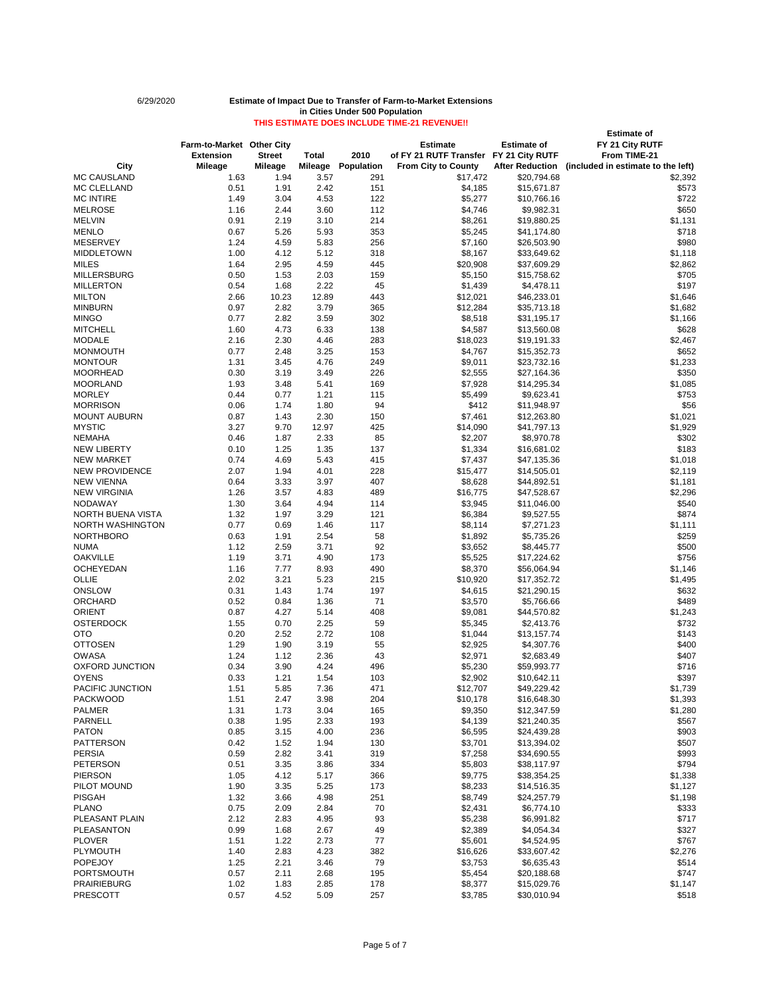# **Estimate of Farm-to-Market Other City Estimate Estimate of FY 21 City RUTF Extension Street Total 2010 of FY 21 RUTF Transfer FY 21 City RUTF From TIME-21 City Mileage Mileage Mileage Population From City to County After Reduction (included in estimate to the left)** MC CAUSLAND 1.63 1.94 3.57 291 \$17,472 \$20,794.68 \$2,392 MC CLELLAND 0.51 1.91 2.42 151 \$4,185 \$15,671.87 \$573 MC INTIRE 1.49 3.04 4.53 122 \$5,277 \$10,766.16 \$722 MELROSE 1.16 2.44 3.60 112 \$4,746 \$9,982.31 \$650 MELVIN 0.91 2.19 3.10 214 \$8,261 \$19,880.25 \$1,131 MENLO 0.67 5.26 5.93 353 \$5,245 \$41,174.80 \$718 MESERVEY 1.24 4.59 5.83 256 \$7,160 \$26,503.90 \$980 MIDDLETOWN 1.00 4.12 5.12 318 \$8,167 \$33,649.62 \$1,118 MILES 1.64 2.95 4.59 445 \$20,908 \$37,609.29 \$2,862 MILLERSBURG 0.50 1.53 2.03 159 \$5,150 \$15,758.62 \$705 MILLERTON 0.54 1.68 2.22 45 \$1,439 \$4,478.11 \$197 MILTON 2.66 10.23 12.89 443 \$12,021 \$46,233.01 \$1,646 MINBURN 0.97 2.82 3.79 365 \$12,284 \$35,713.18 \$1,682 MINGO 0.77 2.82 3.59 302 \$8,518 \$31,195.17 \$1,166 MITCHELL 1.60 4.73 6.33 138 \$4,587 \$13,560.08 \$628 MODALE 2.16 2.30 4.46 283 \$18,023 \$19,191.33 \$2,467 MONMOUTH 0.77 2.48 3.25 153 \$4,767 \$15,352.73 \$652 MONTOUR 1.31 3.45 4.76 249 \$9,011 \$23,732.16 \$1,233 MOORHEAD 0.30 3.19 3.49 226 \$2,555 \$27,164.36 \$350 MOORLAND 1.93 3.48 5.41 169 \$7,928 \$14,295.34 \$1,085 MORLEY 0.44 0.77 1.21 115 \$5,499 \$9,623.41 \$753 MORRISON 0.06 1.74 1.80 94 \$412 \$11,948.97 \$56 MOUNT AUBURN 0.87 1.43 2.30 150 \$7,461 \$12,263.80 \$1,021 MYSTIC 3.27 9.70 12.97 425 \$14,090 \$41,797.13 \$1,929 NEMAHA 0.46 1.87 2.33 85 \$2,207 \$8,970.78 \$302 NEW LIBERTY 0.10 1.25 1.35 137 \$1,334 \$16,681.02 \$183 NEW MARKET 0.74 4.69 5.43 415 \$7,437 \$47,135.36 \$1,018 NEW PROVIDENCE 2.07 1.94 4.01 228 \$15,477 \$14,505.01 \$2,119 NEW VIENNA 0.64 3.33 3.97 407 \$8,628 \$44,892.51 \$1,181 NEW VIRGINIA 1.26 3.57 4.83 489 \$16,775 \$47,528.67 \$2,296 NODAWAY 1.30 3.64 4.94 114 \$3,945 \$11,046.00 \$540 NORTH BUENA VISTA 1.32 1.97 3.29 121 \$6,384 \$9,527.55 \$874 NORTH WASHINGTON 0.77 0.69 1.46 117 \$8,114 \$7,271.23 \$1,111 \$1,111 NORTHBORO 0.63 1.91 2.54 \$1,892 \$5,735.26 \$259 NUMA 1.12 2.59 3.71 92 \$3,652 \$8,445.77 \$500 OAKVILLE 1.19 3.71 4.90 173 \$5,525 \$17,224.62 \$756 OCHEYEDAN 1.16 7.77 8.93 490 \$8,370 \$56,064.94 \$1,146 OLLIE 2.02 3.21 5.23 215 \$10,920 \$17,352.72 \$1,495 ONSLOW 0.31 1.43 1.74 197 \$4,615 \$21,290.15 \$632 ORCHARD 0.52 0.84 1.36 71 \$3,570 \$5,766.66 \$489 ORIENT 0.87 4.27 5.14 408 \$9,081 \$44,570.82 \$1,243 OSTERDOCK 1.55 0.70 2.25 59 \$5,345 \$2,413.76 \$732 OTO 0.20 2.52 2.72 108 \$1,044 \$13,157.74 \$143 OTTOSEN 1.29 1.90 3.19 55 \$2,925 \$4,307.76 \$400 OWASA 1.24 1.12 2.36 43 \$2,971 \$2,683.49 \$407 OXFORD JUNCTION 0.34 3.90 4.24 496 \$5,230 \$59,993.77 \$716 OYENS 0.33 1.21 1.54 103 \$2,902 \$10,642.11 \$397 PACIFIC JUNCTION 6.1.51 5.85 7.36 471 \$12,707 \$49,229.42 \$1,739 PACKWOOD 1.51 2.47 3.98 204 \$10,178 \$16,648.30 \$1,393 PALMER 1.31 1.73 3.04 165 \$9,350 \$12,347.59 \$1,280 PARNELL 0.38 1.95 2.33 193 \$4,139 \$21,240.35 \$567 PATON 0.85 3.15 4.00 236 \$6,595 \$24,439.28 \$903

PATTERSON 0.42 1.52 1.94 130 \$3,701 \$13,394.02 \$507 PERSIA 0.59 2.82 3.41 319 \$7,258 \$34,690.55 \$993

| <b>PETERSON</b>       | 0.51 | 3.35 | 3.86 | 334 | \$5,803  | \$38,117.97 | \$794   |
|-----------------------|------|------|------|-----|----------|-------------|---------|
| <b>PIERSON</b>        | 1.05 | 4.12 | 5.17 | 366 | \$9,775  | \$38,354.25 | \$1,338 |
| PILOT MOUND           | 1.90 | 3.35 | 5.25 | 173 | \$8,233  | \$14,516.35 | \$1,127 |
| <b>PISGAH</b>         | 1.32 | 3.66 | 4.98 | 251 | \$8,749  | \$24,257.79 | \$1,198 |
| <b>PLANO</b>          | 0.75 | 2.09 | 2.84 | 70  | \$2,431  | \$6,774.10  | \$333   |
| <b>PLEASANT PLAIN</b> | 2.12 | 2.83 | 4.95 | 93  | \$5,238  | \$6,991.82  | \$717   |
| PLEASANTON            | 0.99 | 1.68 | 2.67 | 49  | \$2,389  | \$4,054.34  | \$327   |
| <b>PLOVER</b>         | 1.51 | 1.22 | 2.73 | 77  | \$5,601  | \$4,524.95  | \$767   |
| <b>PLYMOUTH</b>       | 1.40 | 2.83 | 4.23 | 382 | \$16,626 | \$33,607.42 | \$2,276 |
| <b>POPEJOY</b>        | 1.25 | 2.21 | 3.46 | 79  | \$3,753  | \$6,635.43  | \$514   |
| <b>PORTSMOUTH</b>     | 0.57 | 2.11 | 2.68 | 195 | \$5,454  | \$20,188.68 | \$747   |
| <b>PRAIRIEBURG</b>    | 1.02 | 1.83 | 2.85 | 178 | \$8,377  | \$15,029.76 | \$1,147 |
| <b>PRESCOTT</b>       | 0.57 | 4.52 | 5.09 | 257 | \$3,785  | \$30,010.94 | \$518   |

Page 5 of 7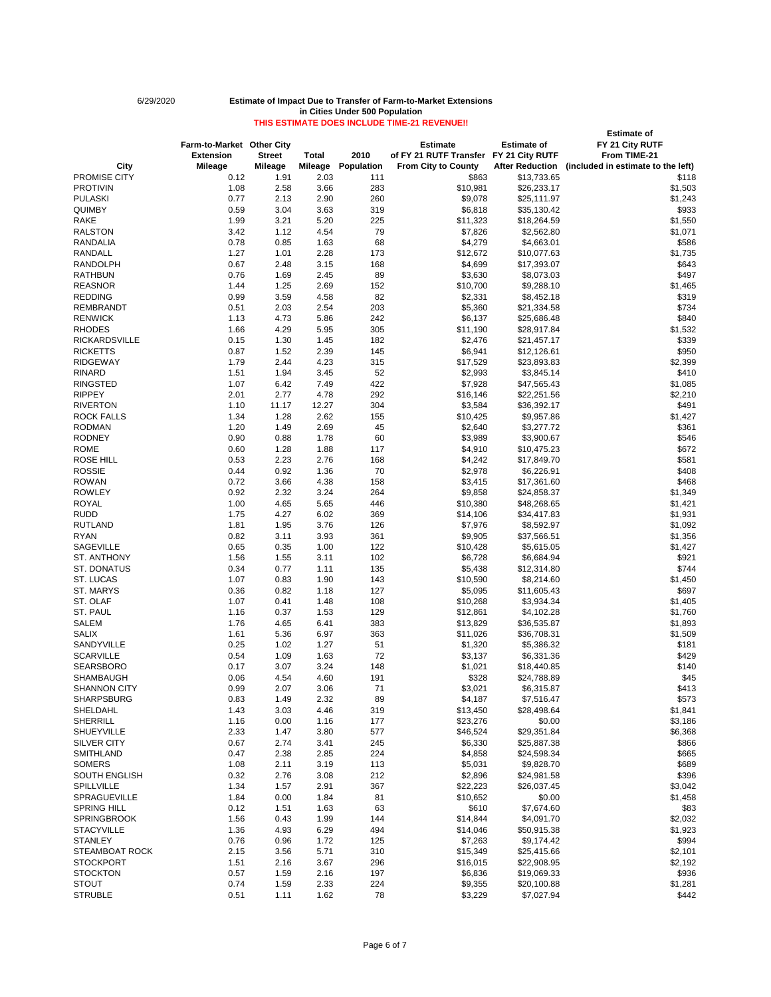# 6/29/2020 **Estimate of Impact Due to Transfer of Farm-to-Market Extensions in Cities Under 500 Population**

# **THIS ESTIMATE DOES INCLUDE TIME-21 REVENUE!! Estimate of Farm-to-Market Other City Estimate Estimate of FY 21 City RUTF Extension** Street Total 2010 of FY 21 RUTF Transfer FY 21 City RUTF<br>Mileage Mileage Mileage Population From City to County After Reduction **City Mileage Mileage Mileage Population From City to County After Reduction (included in estimate to the left)** PROMISE CITY 0.12 1.91 2.03 111 \$863 \$13,733.65 \$118 PROTIVIN 1.08 2.58 3.66 283 \$10,981 \$26,233.17 \$1,503 PULASKI 0.77 2.13 2.90 260 \$9,078 \$25,111.97 \$1,243 QUIMBY 0.59 3.04 3.63 319 \$6,818 \$35,130.42 \$933 RAKE 1.99 3.21 5.20 225 \$11,323 \$18,264.59 \$1,550 RALSTON 3.42 1.12 4.54 79 \$7,826 \$2,562.80 \$1,071 RANDALIA 0.78 0.85 1.63 68 \$4,279 \$4,663.01 \$586

| RANDALL               | 1.27 | 1.01  | 2.28  | 173    | \$12,672 | \$10,077.63 | \$1,735 |
|-----------------------|------|-------|-------|--------|----------|-------------|---------|
| <b>RANDOLPH</b>       | 0.67 | 2.48  | 3.15  | 168    | \$4,699  | \$17,393.07 | \$643   |
| <b>RATHBUN</b>        | 0.76 | 1.69  | 2.45  | 89     | \$3,630  | \$8,073.03  | \$497   |
| <b>REASNOR</b>        | 1.44 | 1.25  | 2.69  | 152    | \$10,700 | \$9,288.10  | \$1,465 |
| <b>REDDING</b>        | 0.99 | 3.59  | 4.58  | 82     | \$2,331  | \$8,452.18  | \$319   |
| <b>REMBRANDT</b>      | 0.51 | 2.03  | 2.54  | 203    | \$5,360  | \$21,334.58 | \$734   |
| <b>RENWICK</b>        | 1.13 | 4.73  | 5.86  | 242    | \$6,137  | \$25,686.48 | \$840   |
| <b>RHODES</b>         | 1.66 | 4.29  | 5.95  | 305    | \$11,190 | \$28,917.84 | \$1,532 |
| <b>RICKARDSVILLE</b>  | 0.15 | 1.30  | 1.45  | 182    | \$2,476  | \$21,457.17 | \$339   |
| <b>RICKETTS</b>       | 0.87 | 1.52  | 2.39  | 145    | \$6,941  | \$12,126.61 | \$950   |
| <b>RIDGEWAY</b>       | 1.79 | 2.44  | 4.23  | 315    | \$17,529 | \$23,893.83 | \$2,399 |
| <b>RINARD</b>         | 1.51 | 1.94  | 3.45  | 52     | \$2,993  | \$3,845.14  | \$410   |
| <b>RINGSTED</b>       | 1.07 | 6.42  | 7.49  | 422    | \$7,928  | \$47,565.43 | \$1,085 |
| <b>RIPPEY</b>         | 2.01 | 2.77  | 4.78  | 292    | \$16,146 | \$22,251.56 | \$2,210 |
| <b>RIVERTON</b>       | 1.10 | 11.17 | 12.27 | 304    | \$3,584  | \$36,392.17 | \$491   |
| <b>ROCK FALLS</b>     | 1.34 | 1.28  | 2.62  | 155    | \$10,425 | \$9,957.86  | \$1,427 |
| <b>RODMAN</b>         | 1.20 | 1.49  | 2.69  | 45     | \$2,640  | \$3,277.72  | \$361   |
| <b>RODNEY</b>         | 0.90 | 0.88  | 1.78  | 60     | \$3,989  | \$3,900.67  | \$546   |
| <b>ROME</b>           | 0.60 | 1.28  | 1.88  | 117    | \$4,910  | \$10,475.23 | \$672   |
| <b>ROSE HILL</b>      | 0.53 | 2.23  | 2.76  | 168    |          |             | \$581   |
|                       |      |       |       |        | \$4,242  | \$17,849.70 |         |
| <b>ROSSIE</b>         | 0.44 | 0.92  | 1.36  | 70     | \$2,978  | \$6,226.91  | \$408   |
| <b>ROWAN</b>          | 0.72 | 3.66  | 4.38  | 158    | \$3,415  | \$17,361.60 | \$468   |
| <b>ROWLEY</b>         | 0.92 | 2.32  | 3.24  | 264    | \$9,858  | \$24,858.37 | \$1,349 |
| <b>ROYAL</b>          | 1.00 | 4.65  | 5.65  | 446    | \$10,380 | \$48,268.65 | \$1,421 |
| <b>RUDD</b>           | 1.75 | 4.27  | 6.02  | 369    | \$14,106 | \$34,417.83 | \$1,931 |
| <b>RUTLAND</b>        | 1.81 | 1.95  | 3.76  | 126    | \$7,976  | \$8,592.97  | \$1,092 |
| <b>RYAN</b>           | 0.82 | 3.11  | 3.93  | 361    | \$9,905  | \$37,566.51 | \$1,356 |
| <b>SAGEVILLE</b>      | 0.65 | 0.35  | 1.00  | 122    | \$10,428 | \$5,615.05  | \$1,427 |
| ST. ANTHONY           | 1.56 | 1.55  | 3.11  | 102    | \$6,728  | \$6,684.94  | \$921   |
| <b>ST. DONATUS</b>    | 0.34 | 0.77  | 1.11  | 135    | \$5,438  | \$12,314.80 | \$744   |
| ST. LUCAS             | 1.07 | 0.83  | 1.90  | 143    | \$10,590 | \$8,214.60  | \$1,450 |
| <b>ST. MARYS</b>      | 0.36 | 0.82  | 1.18  | 127    | \$5,095  | \$11,605.43 | \$697   |
| ST. OLAF              | 1.07 | 0.41  | 1.48  | 108    | \$10,268 | \$3,934.34  | \$1,405 |
| ST. PAUL              | 1.16 | 0.37  | 1.53  | 129    | \$12,861 | \$4,102.28  | \$1,760 |
| <b>SALEM</b>          | 1.76 | 4.65  | 6.41  | 383    | \$13,829 | \$36,535.87 | \$1,893 |
| <b>SALIX</b>          | 1.61 | 5.36  | 6.97  | 363    | \$11,026 | \$36,708.31 | \$1,509 |
| SANDYVILLE            | 0.25 | 1.02  | 1.27  | 51     | \$1,320  | \$5,386.32  | \$181   |
| <b>SCARVILLE</b>      | 0.54 | 1.09  | 1.63  | $72\,$ | \$3,137  | \$6,331.36  | \$429   |
| <b>SEARSBORO</b>      | 0.17 | 3.07  | 3.24  | 148    | \$1,021  | \$18,440.85 | \$140   |
| <b>SHAMBAUGH</b>      | 0.06 | 4.54  | 4.60  | 191    | \$328    | \$24,788.89 | \$45    |
| <b>SHANNON CITY</b>   | 0.99 | 2.07  | 3.06  | 71     | \$3,021  | \$6,315.87  | \$413   |
| <b>SHARPSBURG</b>     | 0.83 | 1.49  | 2.32  | 89     | \$4,187  | \$7,516.47  | \$573   |
| <b>SHELDAHL</b>       | 1.43 | 3.03  | 4.46  | 319    | \$13,450 | \$28,498.64 | \$1,841 |
| <b>SHERRILL</b>       | 1.16 | 0.00  | 1.16  | 177    | \$23,276 | \$0.00      | \$3,186 |
| <b>SHUEYVILLE</b>     | 2.33 | 1.47  | 3.80  | 577    | \$46,524 | \$29,351.84 | \$6,368 |
| <b>SILVER CITY</b>    | 0.67 | 2.74  | 3.41  | 245    | \$6,330  | \$25,887.38 | \$866   |
| <b>SMITHLAND</b>      | 0.47 | 2.38  | 2.85  | 224    | \$4,858  | \$24,598.34 | \$665   |
| <b>SOMERS</b>         | 1.08 | 2.11  | 3.19  | 113    | \$5,031  | \$9,828.70  | \$689   |
| <b>SOUTH ENGLISH</b>  | 0.32 | 2.76  | 3.08  | 212    | \$2,896  | \$24,981.58 | \$396   |
| <b>SPILLVILLE</b>     | 1.34 | 1.57  | 2.91  | 367    | \$22,223 | \$26,037.45 | \$3,042 |
| SPRAGUEVILLE          | 1.84 | 0.00  | 1.84  | 81     | \$10,652 | \$0.00      | \$1,458 |
| <b>SPRING HILL</b>    | 0.12 | 1.51  | 1.63  | 63     | \$610    | \$7,674.60  | \$83    |
| <b>SPRINGBROOK</b>    | 1.56 | 0.43  | 1.99  | 144    | \$14,844 |             | \$2,032 |
|                       |      |       |       |        |          | \$4,091.70  |         |
| <b>STACYVILLE</b>     | 1.36 | 4.93  | 6.29  | 494    | \$14,046 | \$50,915.38 | \$1,923 |
| <b>STANLEY</b>        | 0.76 | 0.96  | 1.72  | 125    | \$7,263  | \$9,174.42  | \$994   |
| <b>STEAMBOAT ROCK</b> | 2.15 | 3.56  | 5.71  | 310    | \$15,349 | \$25,415.66 | \$2,101 |
| <b>STOCKPORT</b>      | 1.51 | 2.16  | 3.67  | 296    | \$16,015 | \$22,908.95 | \$2,192 |
| <b>STOCKTON</b>       | 0.57 | 1.59  | 2.16  | 197    | \$6,836  | \$19,069.33 | \$936   |
| <b>STOUT</b>          | 0.74 | 1.59  | 2.33  | 224    | \$9,355  | \$20,100.88 | \$1,281 |
| <b>STRUBLE</b>        | 0.51 | 1.11  | 1.62  | 78     | \$3,229  | \$7,027.94  | \$442   |

Page 6 of 7